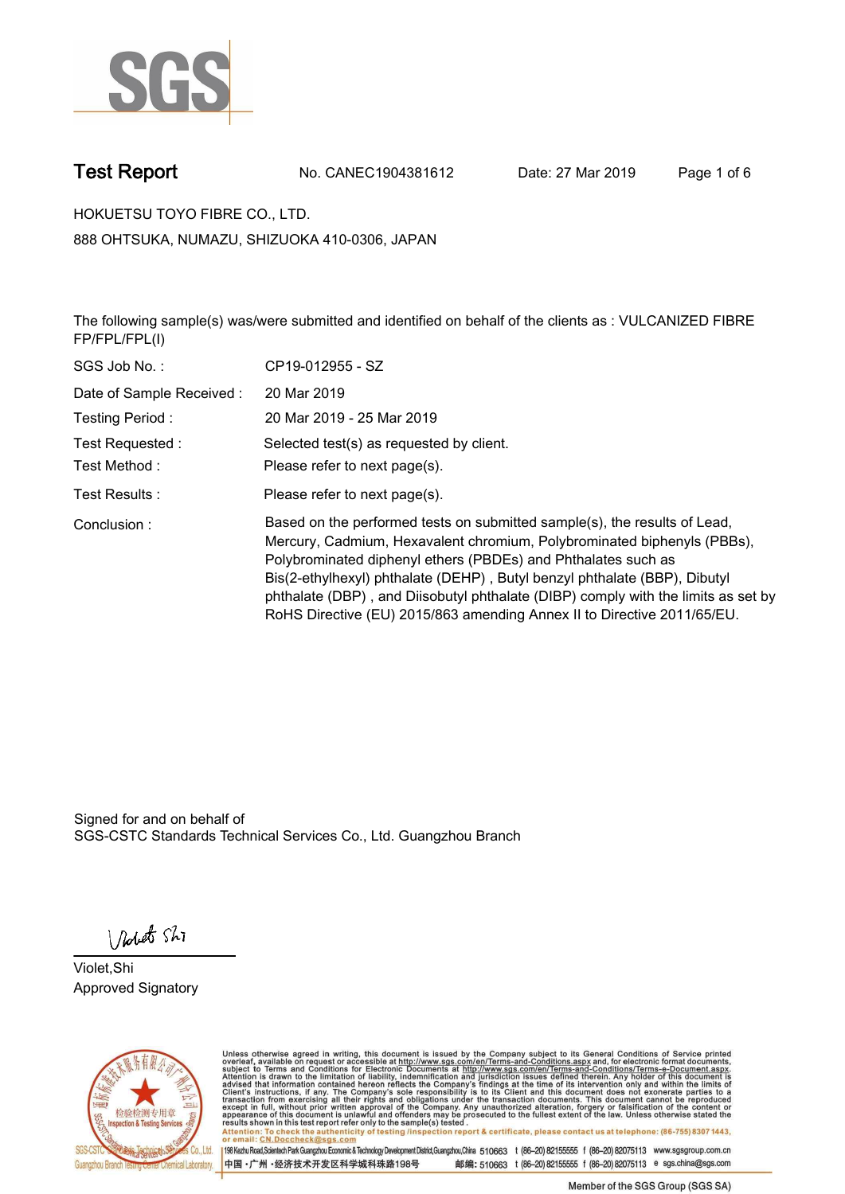

**Test Report. No. CANEC1904381612 Date: 27 Mar 2019. Page 1 of 6.**

**HOKUETSU TOYO FIBRE CO., LTD.. 888 OHTSUKA, NUMAZU, SHIZUOKA 410-0306, JAPAN**

**The following sample(s) was/were submitted and identified on behalf of the clients as : VULCANIZED FIBRE FP/FPL/FPL(I).**

| SGS Job No.:             | CP19-012955 - SZ                                                                                                                                                                                                                                                                                                                                                                                                                                                   |
|--------------------------|--------------------------------------------------------------------------------------------------------------------------------------------------------------------------------------------------------------------------------------------------------------------------------------------------------------------------------------------------------------------------------------------------------------------------------------------------------------------|
| Date of Sample Received: | 20 Mar 2019                                                                                                                                                                                                                                                                                                                                                                                                                                                        |
| Testing Period:          | 20 Mar 2019 - 25 Mar 2019                                                                                                                                                                                                                                                                                                                                                                                                                                          |
| Test Requested:          | Selected test(s) as requested by client.                                                                                                                                                                                                                                                                                                                                                                                                                           |
| Test Method:             | Please refer to next page(s).                                                                                                                                                                                                                                                                                                                                                                                                                                      |
| Test Results :           | Please refer to next page(s).                                                                                                                                                                                                                                                                                                                                                                                                                                      |
| Conclusion:              | Based on the performed tests on submitted sample(s), the results of Lead,<br>Mercury, Cadmium, Hexavalent chromium, Polybrominated biphenyls (PBBs),<br>Polybrominated diphenyl ethers (PBDEs) and Phthalates such as<br>Bis(2-ethylhexyl) phthalate (DEHP), Butyl benzyl phthalate (BBP), Dibutyl<br>phthalate (DBP), and Diisobutyl phthalate (DIBP) comply with the limits as set by<br>RoHS Directive (EU) 2015/863 amending Annex II to Directive 2011/65/EU. |

Signed for and on behalf of SGS-CSTC Standards Technical Services Co., Ltd. Guangzhou Branch.

Nobet Shi

**Violet,Shi. Approved Signatory.**



Unless otherwise agreed in writing, this document is issued by the Company subject to its General Conditions of Service printed<br>overleaf, available on request or accessible at http://www.sgs.com/en/Terms-and-Conditions.asp Attention: To check the authenticity of testing /inspection report & certificate, please contact us at telephone: (86-755) 8307 1443,<br>Attention: To check the authenticity of testing /inspection report & certificate, please

198 Kezhu Road,Scientech Park Guangzhou Economic & Technology Development District,Guangzhou,China 510663 t (86-20) 82155555 f (86-20) 82075113 www.sgsgroup.com.cn 邮编: 510663 t (86-20) 82155555 f (86-20) 82075113 e sgs.china@sgs.com 中国·广州·经济技术开发区科学城科珠路198号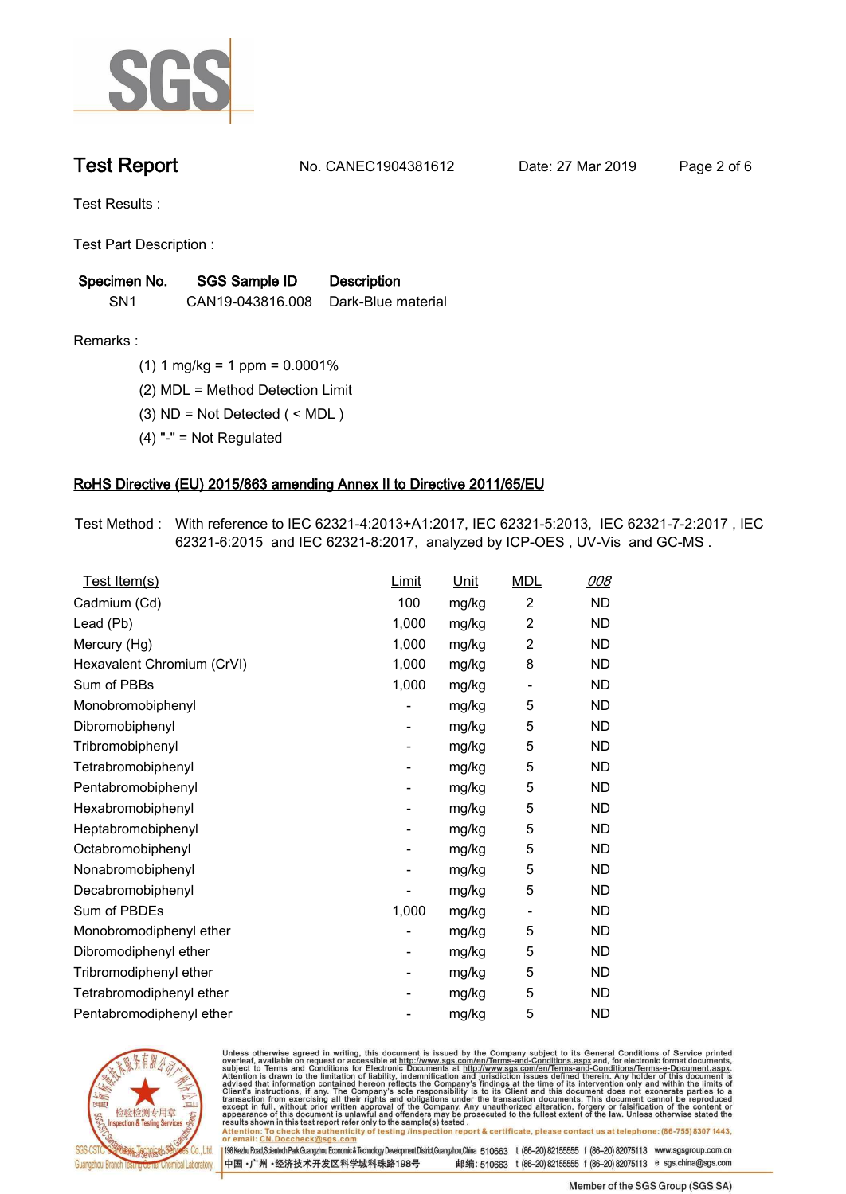

**Test Report. No. CANEC1904381612 Date: 27 Mar 2019. Page 2 of 6.**

**Test Results :.**

**Test Part Description :.**

| Specimen No.    | SGS Sample ID    | <b>Description</b> |
|-----------------|------------------|--------------------|
| SN <sub>1</sub> | CAN19-043816.008 | Dark-Blue material |

**Remarks :.(1) 1 mg/kg = 1 ppm = 0.0001%.**

**(2) MDL = Method Detection Limit.**

**(3) ND = Not Detected ( < MDL ).**

**(4) "-" = Not Regulated.**

### **RoHS Directive (EU) 2015/863 amending Annex II to Directive 2011/65/EU.**

**Test Method :. With reference to IEC 62321-4:2013+A1:2017, IEC 62321-5:2013, IEC 62321-7-2:2017 , IEC 62321-6:2015 and IEC 62321-8:2017, analyzed by ICP-OES , UV-Vis and GC-MS ..**

| Test Item(s)               | <u>Limit</u> | <u>Unit</u> | <b>MDL</b>               | <u>008</u> |
|----------------------------|--------------|-------------|--------------------------|------------|
| Cadmium (Cd)               | 100          | mg/kg       | $\overline{2}$           | <b>ND</b>  |
| Lead (Pb)                  | 1,000        | mg/kg       | $\overline{c}$           | <b>ND</b>  |
| Mercury (Hg)               | 1,000        | mg/kg       | 2                        | <b>ND</b>  |
| Hexavalent Chromium (CrVI) | 1,000        | mg/kg       | 8                        | <b>ND</b>  |
| Sum of PBBs                | 1,000        | mg/kg       | $\overline{\phantom{a}}$ | <b>ND</b>  |
| Monobromobiphenyl          |              | mg/kg       | 5                        | <b>ND</b>  |
| Dibromobiphenyl            | -            | mg/kg       | 5                        | <b>ND</b>  |
| Tribromobiphenyl           | -            | mg/kg       | 5                        | <b>ND</b>  |
| Tetrabromobiphenyl         |              | mg/kg       | 5                        | <b>ND</b>  |
| Pentabromobiphenyl         | -            | mg/kg       | 5                        | <b>ND</b>  |
| Hexabromobiphenyl          |              | mg/kg       | 5                        | ND         |
| Heptabromobiphenyl         | -            | mg/kg       | 5                        | <b>ND</b>  |
| Octabromobiphenyl          |              | mg/kg       | 5                        | <b>ND</b>  |
| Nonabromobiphenyl          |              | mg/kg       | 5                        | <b>ND</b>  |
| Decabromobiphenyl          |              | mg/kg       | 5                        | <b>ND</b>  |
| Sum of PBDEs               | 1,000        | mg/kg       | $\overline{\phantom{a}}$ | <b>ND</b>  |
| Monobromodiphenyl ether    |              | mg/kg       | 5                        | <b>ND</b>  |
| Dibromodiphenyl ether      | -            | mg/kg       | 5                        | <b>ND</b>  |
| Tribromodiphenyl ether     | -            | mg/kg       | 5                        | <b>ND</b>  |
| Tetrabromodiphenyl ether   |              | mg/kg       | 5                        | <b>ND</b>  |
| Pentabromodiphenyl ether   |              | mg/kg       | 5                        | <b>ND</b>  |
|                            |              |             |                          |            |



Unless otherwise agreed in writing, this document is issued by the Company subject to its General Conditions of Service printed<br>overleaf, available on request or accessible at http://www.sgs.com/en/Terms-and-Conditions.asp Attention: To check the authenticity of testing /inspection report & certificate, please contact us at telephone: (86-755) 8307 1443,<br>Attention: To check the authenticity of testing /inspection report & certificate, please

198 Kezhu Road,Scientech Park Guangzhou Economic & Technology Development District,Guangzhou,China 510663 t (86-20) 82155555 f (86-20) 82075113 www.sgsgroup.com.cn 邮编: 510663 t (86-20) 82155555 f (86-20) 82075113 e sgs.china@sgs.com 中国·广州·经济技术开发区科学城科珠路198号

Member of the SGS Group (SGS SA)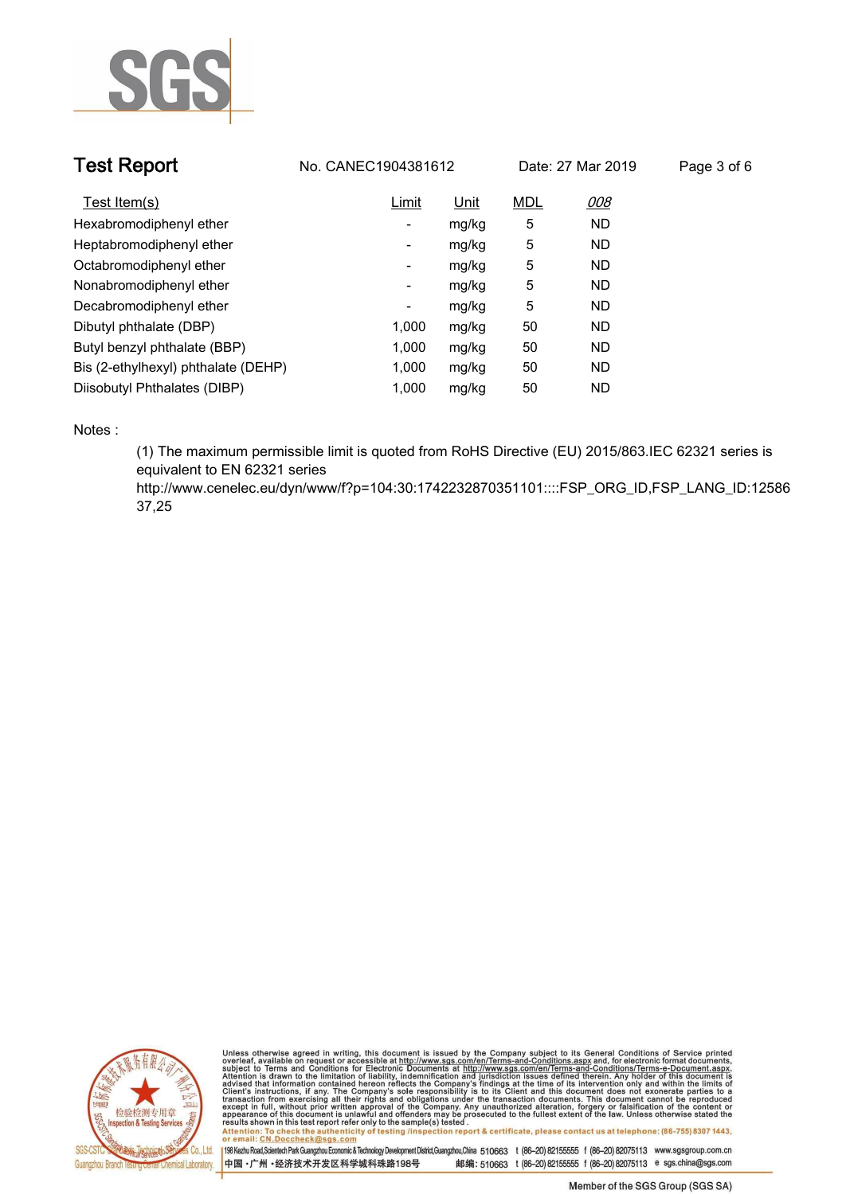

| <b>Test Report</b>                  | No. CANEC1904381612 |       |            | Date: 27 Mar 2019 | Page 3 of 6 |
|-------------------------------------|---------------------|-------|------------|-------------------|-------------|
| Test Item(s)                        | Limit               | Unit  | <b>MDL</b> | 008               |             |
| Hexabromodiphenyl ether             | ۰                   | mg/kg | 5          | <b>ND</b>         |             |
| Heptabromodiphenyl ether            | -                   | mg/kg | 5          | <b>ND</b>         |             |
| Octabromodiphenyl ether             | Ξ.                  | mg/kg | 5          | <b>ND</b>         |             |
| Nonabromodiphenyl ether             | ٠                   | mg/kg | 5          | <b>ND</b>         |             |
| Decabromodiphenyl ether             | ۰                   | mg/kg | 5          | <b>ND</b>         |             |
| Dibutyl phthalate (DBP)             | 1,000               | mg/kg | 50         | <b>ND</b>         |             |
| Butyl benzyl phthalate (BBP)        | 1,000               | mg/kg | 50         | <b>ND</b>         |             |
| Bis (2-ethylhexyl) phthalate (DEHP) | 1,000               | mg/kg | 50         | <b>ND</b>         |             |
| Diisobutyl Phthalates (DIBP)        | 1.000               | mg/kg | 50         | <b>ND</b>         |             |

**Notes :.**

**(1) The maximum permissible limit is quoted from RoHS Directive (EU) 2015/863.IEC 62321 series is equivalent to EN 62321 series** 

**http://www.cenelec.eu/dyn/www/f?p=104:30:1742232870351101::::FSP\_ORG\_ID,FSP\_LANG\_ID:12586 37,25.**



Unless otherwise agreed in writing, this document is issued by the Company subject to its General Conditions of Service printed<br>overleaf, available on request or accessible at http://www.sgs.com/en/Terms-and-Conditions.asp Attention: To check the authenticity of testing /inspection report & certificate, please contact us at telephone: (86-755) 8307 1443,<br>Attention: To check the authenticity of testing /inspection report & certificate, please

198 Kezhu Road,Scientech Park Guangzhou Economic & Technology Development District,Guangzhou,China 510663 t (86-20) 82155555 f (86-20) 82075113 www.sgsgroup.com.cn 中国·广州·经济技术开发区科学城科珠路198号 邮编: 510663 t (86-20) 82155555 f (86-20) 82075113 e sgs.china@sgs.com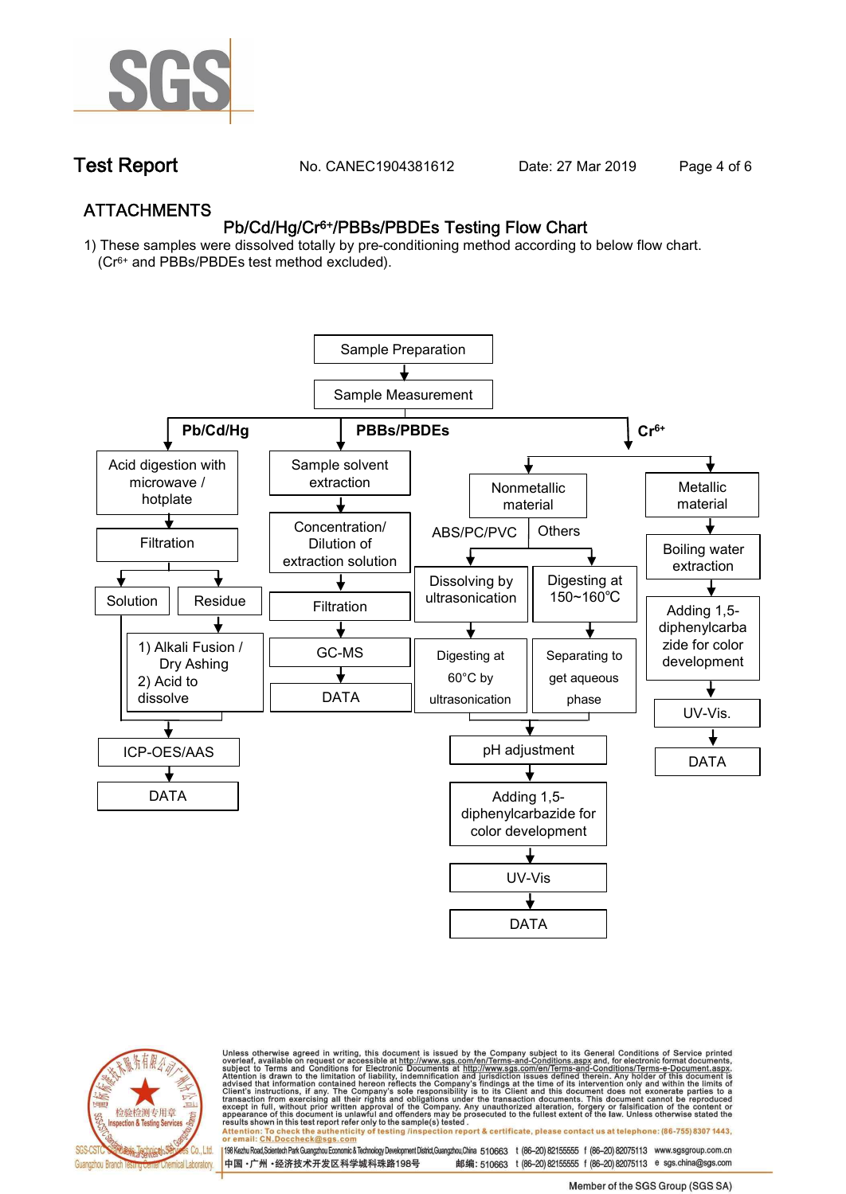

**Test Report. No. CANEC1904381612 Date: 27 Mar 2019. Page 4 of 6.**

## **ATTACHMENTS Pb/Cd/Hg/Cr6+/PBBs/PBDEs Testing Flow Chart**

**1) These samples were dissolved totally by pre-conditioning method according to below flow chart. (Cr6+ and PBBs/PBDEs test method excluded).**





Unless otherwise agreed in writing, this document is issued by the Company subject to its General Conditions of Service printed<br>overleaf, available on request or accessible at http://www.sgs.com/en/Terms-and-Conditions.asp résults shown in this test report refer only to the sample(s) tésted .<br>Attention: To check the authenticity of testing /inspection report & certificate, please contact us at telephone: (86-755) 8307 1443,<br>or email: <u>CN.Doc</u>

198 Kezhu Road,Scientech Park Guangzhou Economic & Technology Development District,Guangzhou,China 510663 t (86-20) 82155555 f (86-20) 82075113 www.sgsgroup.com.cn

邮编: 510663 t (86-20) 82155555 f (86-20) 82075113 e sgs.china@sgs.com 中国·广州·经济技术开发区科学城科珠路198号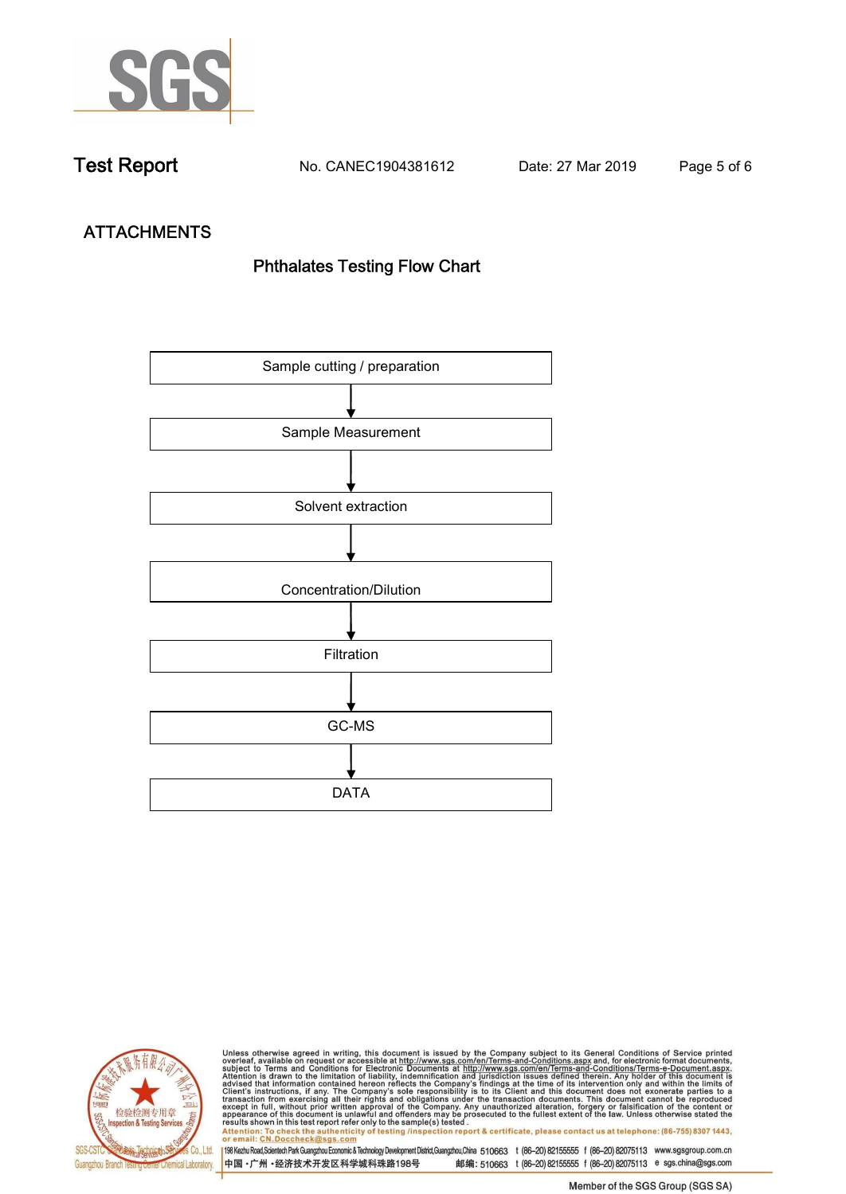

**Test Report. No. CANEC1904381612 Date: 27 Mar 2019. Page 5 of 6.**

# **ATTACHMENTS Phthalates Testing Flow Chart**





Unless otherwise agreed in writing, this document is issued by the Company subject to its General Conditions of Service printed<br>overleaf, available on request or accessible at http://www.sgs.com/en/Terms-and-Conditions.asp results shown in this test report refer only to the sample(s) tested .<br>Attention: To check the authenticity of testing /inspection report & certificate, please contact us at telephone: (86-755) 8307 1443,<br>or email: <u>CN.Doc</u>

198 Kezhu Road,Scientech Park Guangzhou Economic & Technology Development District,Guangzhou,China 510663 t (86-20) 82155555 f (86-20) 82075113 www.sgsgroup.com.cn 中国·广州·经济技术开发区科学城科珠路198号 邮编: 510663 t (86-20) 82155555 f (86-20) 82075113 e sgs.china@sgs.com